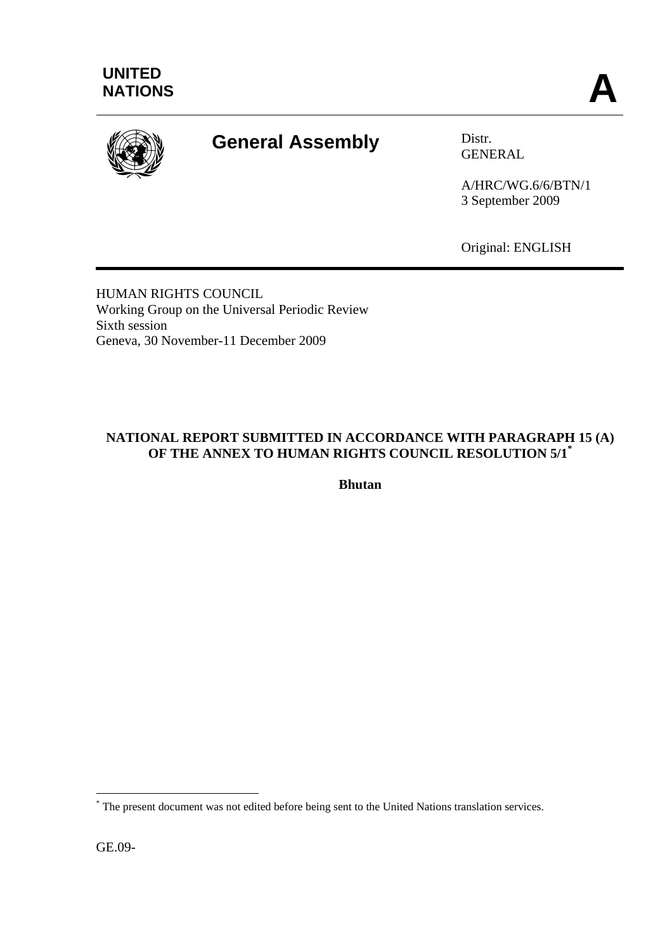

# **General Assembly** Distr.

GENERAL

A/HRC/WG.6/6/BTN/1 3 September 2009

Original: ENGLISH

HUMAN RIGHTS COUNCIL Working Group on the Universal Periodic Review Sixth session Geneva, 30 November-11 December 2009

# **NATIONAL REPORT SUBMITTED IN ACCORDANCE WITH PARAGRAPH 15 (A) OF THE ANNEX TO HUMAN RIGHTS COUNCIL RESOLUTION 5/1\***

**Bhutan** 

GE.09-

 $\overline{a}$ 

<sup>\*</sup> The present document was not edited before being sent to the United Nations translation services.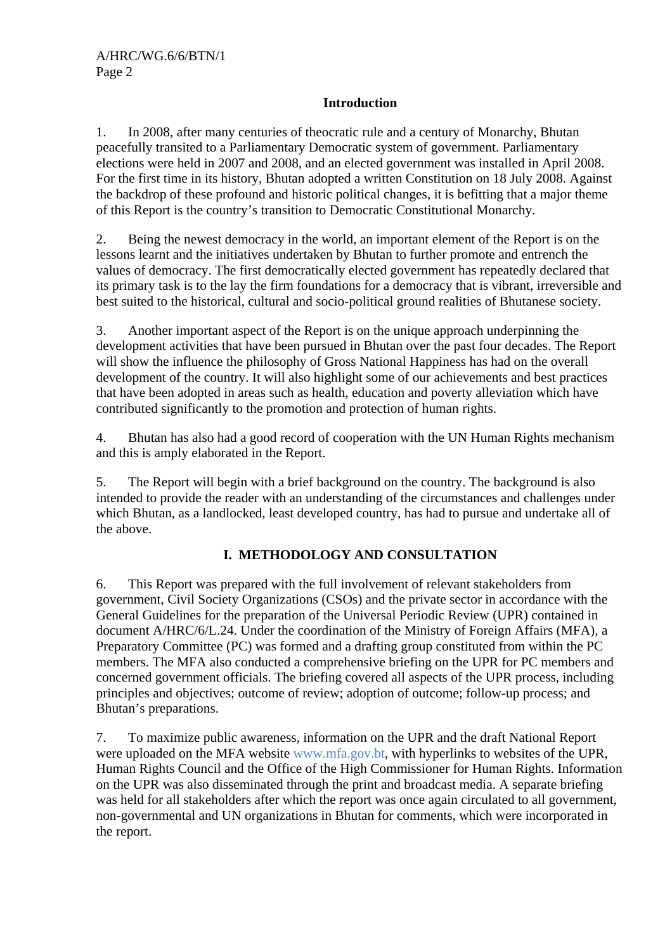### **Introduction**

1. In 2008, after many centuries of theocratic rule and a century of Monarchy, Bhutan peacefully transited to a Parliamentary Democratic system of government. Parliamentary elections were held in 2007 and 2008, and an elected government was installed in April 2008. For the first time in its history, Bhutan adopted a written Constitution on 18 July 2008. Against the backdrop of these profound and historic political changes, it is befitting that a major theme of this Report is the country's transition to Democratic Constitutional Monarchy.

2. Being the newest democracy in the world, an important element of the Report is on the lessons learnt and the initiatives undertaken by Bhutan to further promote and entrench the values of democracy. The first democratically elected government has repeatedly declared that its primary task is to the lay the firm foundations for a democracy that is vibrant, irreversible and best suited to the historical, cultural and socio-political ground realities of Bhutanese society.

3. Another important aspect of the Report is on the unique approach underpinning the development activities that have been pursued in Bhutan over the past four decades. The Report will show the influence the philosophy of Gross National Happiness has had on the overall development of the country. It will also highlight some of our achievements and best practices that have been adopted in areas such as health, education and poverty alleviation which have contributed significantly to the promotion and protection of human rights.

4. Bhutan has also had a good record of cooperation with the UN Human Rights mechanism and this is amply elaborated in the Report.

5. The Report will begin with a brief background on the country. The background is also intended to provide the reader with an understanding of the circumstances and challenges under which Bhutan, as a landlocked, least developed country, has had to pursue and undertake all of the above.

# **I. METHODOLOGY AND CONSULTATION**

6. This Report was prepared with the full involvement of relevant stakeholders from government, Civil Society Organizations (CSOs) and the private sector in accordance with the General Guidelines for the preparation of the Universal Periodic Review (UPR) contained in document A/HRC/6/L.24. Under the coordination of the Ministry of Foreign Affairs (MFA), a Preparatory Committee (PC) was formed and a drafting group constituted from within the PC members. The MFA also conducted a comprehensive briefing on the UPR for PC members and concerned government officials. The briefing covered all aspects of the UPR process, including principles and objectives; outcome of review; adoption of outcome; follow-up process; and Bhutan's preparations.

7. To maximize public awareness, information on the UPR and the draft National Report were uploaded on the MFA website www.mfa.gov.bt, with hyperlinks to websites of the UPR, Human Rights Council and the Office of the High Commissioner for Human Rights. Information on the UPR was also disseminated through the print and broadcast media. A separate briefing was held for all stakeholders after which the report was once again circulated to all government, non-governmental and UN organizations in Bhutan for comments, which were incorporated in the report.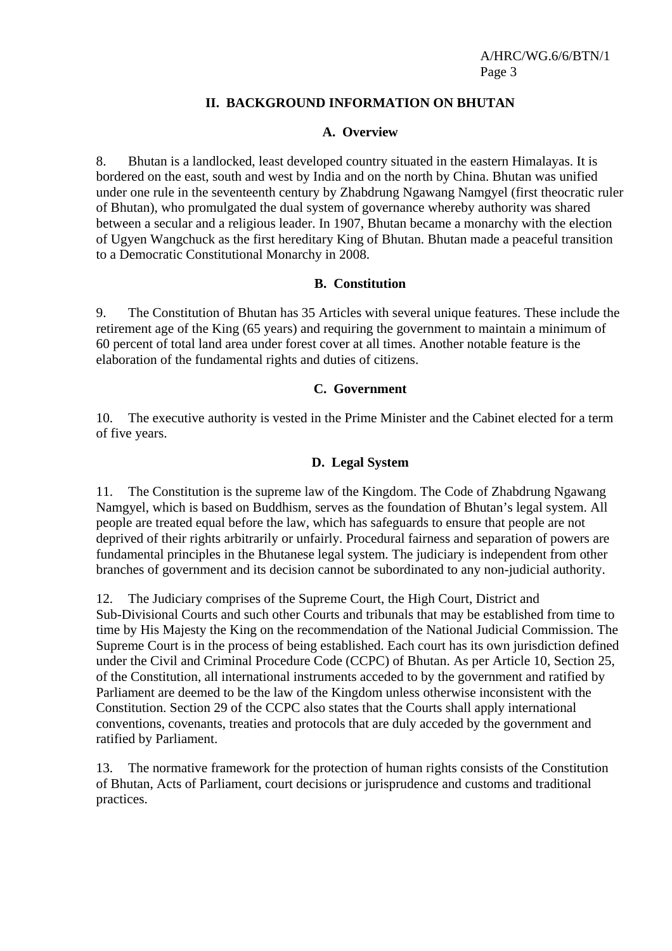### **II. BACKGROUND INFORMATION ON BHUTAN**

### **A. Overview**

8. Bhutan is a landlocked, least developed country situated in the eastern Himalayas. It is bordered on the east, south and west by India and on the north by China. Bhutan was unified under one rule in the seventeenth century by Zhabdrung Ngawang Namgyel (first theocratic ruler of Bhutan), who promulgated the dual system of governance whereby authority was shared between a secular and a religious leader. In 1907, Bhutan became a monarchy with the election of Ugyen Wangchuck as the first hereditary King of Bhutan. Bhutan made a peaceful transition to a Democratic Constitutional Monarchy in 2008.

### **B. Constitution**

9. The Constitution of Bhutan has 35 Articles with several unique features. These include the retirement age of the King (65 years) and requiring the government to maintain a minimum of 60 percent of total land area under forest cover at all times. Another notable feature is the elaboration of the fundamental rights and duties of citizens.

#### **C. Government**

10. The executive authority is vested in the Prime Minister and the Cabinet elected for a term of five years.

### **D. Legal System**

11. The Constitution is the supreme law of the Kingdom. The Code of Zhabdrung Ngawang Namgyel, which is based on Buddhism, serves as the foundation of Bhutan's legal system. All people are treated equal before the law, which has safeguards to ensure that people are not deprived of their rights arbitrarily or unfairly. Procedural fairness and separation of powers are fundamental principles in the Bhutanese legal system. The judiciary is independent from other branches of government and its decision cannot be subordinated to any non-judicial authority.

12. The Judiciary comprises of the Supreme Court, the High Court, District and Sub-Divisional Courts and such other Courts and tribunals that may be established from time to time by His Majesty the King on the recommendation of the National Judicial Commission. The Supreme Court is in the process of being established. Each court has its own jurisdiction defined under the Civil and Criminal Procedure Code (CCPC) of Bhutan. As per Article 10, Section 25, of the Constitution, all international instruments acceded to by the government and ratified by Parliament are deemed to be the law of the Kingdom unless otherwise inconsistent with the Constitution. Section 29 of the CCPC also states that the Courts shall apply international conventions, covenants, treaties and protocols that are duly acceded by the government and ratified by Parliament.

13. The normative framework for the protection of human rights consists of the Constitution of Bhutan, Acts of Parliament, court decisions or jurisprudence and customs and traditional practices.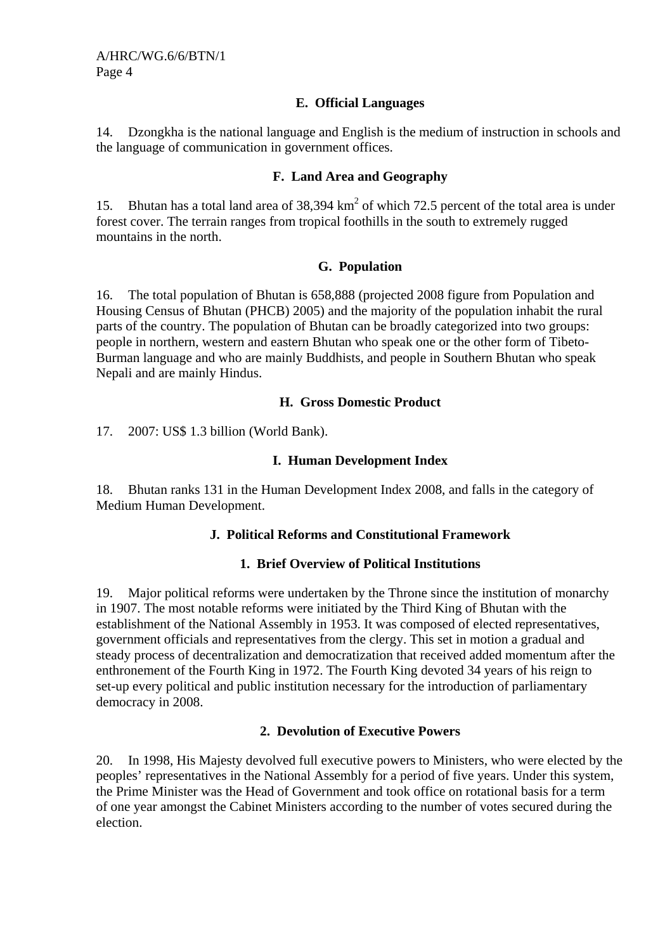### **E. Official Languages**

14. Dzongkha is the national language and English is the medium of instruction in schools and the language of communication in government offices.

### **F. Land Area and Geography**

15. Bhutan has a total land area of  $38,394 \text{ km}^2$  of which 72.5 percent of the total area is under forest cover. The terrain ranges from tropical foothills in the south to extremely rugged mountains in the north.

### **G. Population**

16. The total population of Bhutan is 658,888 (projected 2008 figure from Population and Housing Census of Bhutan (PHCB) 2005) and the majority of the population inhabit the rural parts of the country. The population of Bhutan can be broadly categorized into two groups: people in northern, western and eastern Bhutan who speak one or the other form of Tibeto-Burman language and who are mainly Buddhists, and people in Southern Bhutan who speak Nepali and are mainly Hindus.

### **H. Gross Domestic Product**

17. 2007: US\$ 1.3 billion (World Bank).

### **I. Human Development Index**

18. Bhutan ranks 131 in the Human Development Index 2008, and falls in the category of Medium Human Development.

### **J. Political Reforms and Constitutional Framework**

### **1. Brief Overview of Political Institutions**

19. Major political reforms were undertaken by the Throne since the institution of monarchy in 1907. The most notable reforms were initiated by the Third King of Bhutan with the establishment of the National Assembly in 1953. It was composed of elected representatives, government officials and representatives from the clergy. This set in motion a gradual and steady process of decentralization and democratization that received added momentum after the enthronement of the Fourth King in 1972. The Fourth King devoted 34 years of his reign to set-up every political and public institution necessary for the introduction of parliamentary democracy in 2008.

### **2. Devolution of Executive Powers**

20. In 1998, His Majesty devolved full executive powers to Ministers, who were elected by the peoples' representatives in the National Assembly for a period of five years. Under this system, the Prime Minister was the Head of Government and took office on rotational basis for a term of one year amongst the Cabinet Ministers according to the number of votes secured during the election.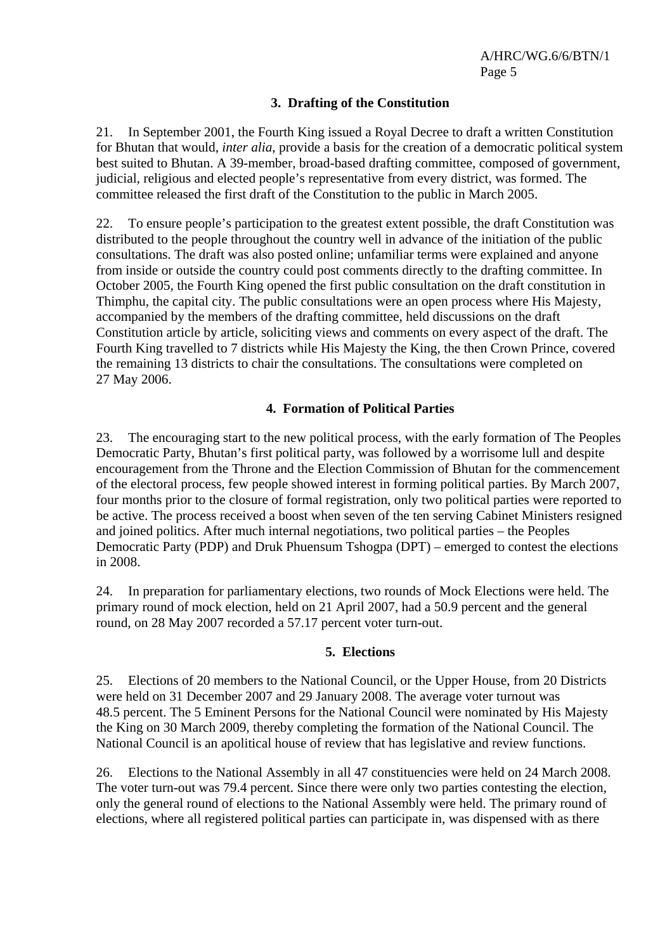### **3. Drafting of the Constitution**

21. In September 2001, the Fourth King issued a Royal Decree to draft a written Constitution for Bhutan that would, *inter alia*, provide a basis for the creation of a democratic political system best suited to Bhutan. A 39-member, broad-based drafting committee, composed of government, judicial, religious and elected people's representative from every district, was formed. The committee released the first draft of the Constitution to the public in March 2005.

22. To ensure people's participation to the greatest extent possible, the draft Constitution was distributed to the people throughout the country well in advance of the initiation of the public consultations. The draft was also posted online; unfamiliar terms were explained and anyone from inside or outside the country could post comments directly to the drafting committee. In October 2005, the Fourth King opened the first public consultation on the draft constitution in Thimphu, the capital city. The public consultations were an open process where His Majesty, accompanied by the members of the drafting committee, held discussions on the draft Constitution article by article, soliciting views and comments on every aspect of the draft. The Fourth King travelled to 7 districts while His Majesty the King, the then Crown Prince, covered the remaining 13 districts to chair the consultations. The consultations were completed on 27 May 2006.

### **4. Formation of Political Parties**

23. The encouraging start to the new political process, with the early formation of The Peoples Democratic Party, Bhutan's first political party, was followed by a worrisome lull and despite encouragement from the Throne and the Election Commission of Bhutan for the commencement of the electoral process, few people showed interest in forming political parties. By March 2007, four months prior to the closure of formal registration, only two political parties were reported to be active. The process received a boost when seven of the ten serving Cabinet Ministers resigned and joined politics. After much internal negotiations, two political parties – the Peoples Democratic Party (PDP) and Druk Phuensum Tshogpa (DPT) – emerged to contest the elections in 2008.

24. In preparation for parliamentary elections, two rounds of Mock Elections were held. The primary round of mock election, held on 21 April 2007, had a 50.9 percent and the general round, on 28 May 2007 recorded a 57.17 percent voter turn-out.

### **5. Elections**

25. Elections of 20 members to the National Council, or the Upper House, from 20 Districts were held on 31 December 2007 and 29 January 2008. The average voter turnout was 48.5 percent. The 5 Eminent Persons for the National Council were nominated by His Majesty the King on 30 March 2009, thereby completing the formation of the National Council. The National Council is an apolitical house of review that has legislative and review functions.

26. Elections to the National Assembly in all 47 constituencies were held on 24 March 2008. The voter turn-out was 79.4 percent. Since there were only two parties contesting the election, only the general round of elections to the National Assembly were held. The primary round of elections, where all registered political parties can participate in, was dispensed with as there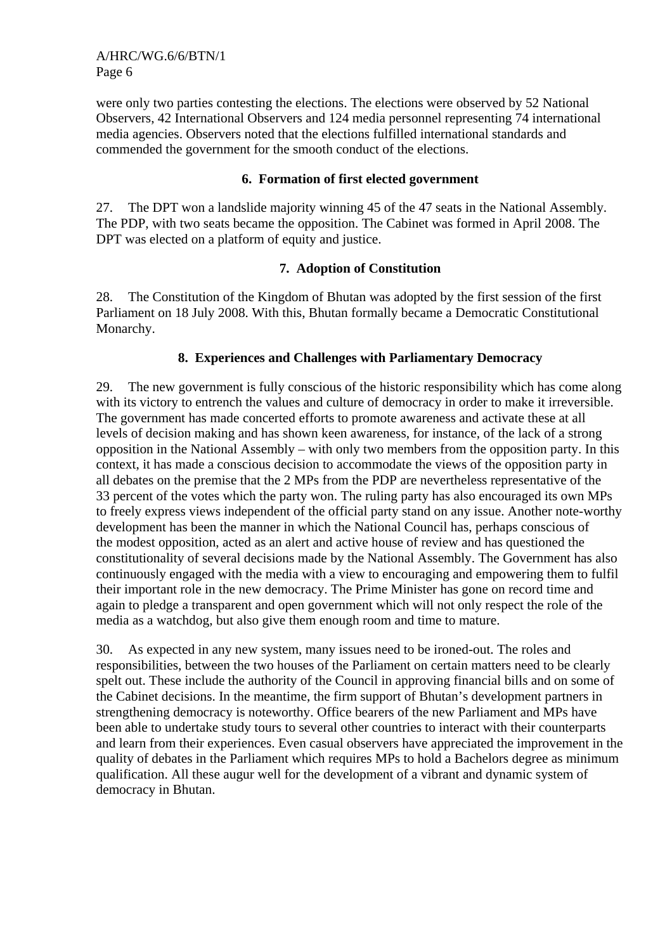were only two parties contesting the elections. The elections were observed by 52 National Observers, 42 International Observers and 124 media personnel representing 74 international media agencies. Observers noted that the elections fulfilled international standards and commended the government for the smooth conduct of the elections.

### **6. Formation of first elected government**

27. The DPT won a landslide majority winning 45 of the 47 seats in the National Assembly. The PDP, with two seats became the opposition. The Cabinet was formed in April 2008. The DPT was elected on a platform of equity and justice.

### **7. Adoption of Constitution**

28. The Constitution of the Kingdom of Bhutan was adopted by the first session of the first Parliament on 18 July 2008. With this, Bhutan formally became a Democratic Constitutional Monarchy.

### **8. Experiences and Challenges with Parliamentary Democracy**

29. The new government is fully conscious of the historic responsibility which has come along with its victory to entrench the values and culture of democracy in order to make it irreversible. The government has made concerted efforts to promote awareness and activate these at all levels of decision making and has shown keen awareness, for instance, of the lack of a strong opposition in the National Assembly – with only two members from the opposition party. In this context, it has made a conscious decision to accommodate the views of the opposition party in all debates on the premise that the 2 MPs from the PDP are nevertheless representative of the 33 percent of the votes which the party won. The ruling party has also encouraged its own MPs to freely express views independent of the official party stand on any issue. Another note-worthy development has been the manner in which the National Council has, perhaps conscious of the modest opposition, acted as an alert and active house of review and has questioned the constitutionality of several decisions made by the National Assembly. The Government has also continuously engaged with the media with a view to encouraging and empowering them to fulfil their important role in the new democracy. The Prime Minister has gone on record time and again to pledge a transparent and open government which will not only respect the role of the media as a watchdog, but also give them enough room and time to mature.

30. As expected in any new system, many issues need to be ironed-out. The roles and responsibilities, between the two houses of the Parliament on certain matters need to be clearly spelt out. These include the authority of the Council in approving financial bills and on some of the Cabinet decisions. In the meantime, the firm support of Bhutan's development partners in strengthening democracy is noteworthy. Office bearers of the new Parliament and MPs have been able to undertake study tours to several other countries to interact with their counterparts and learn from their experiences. Even casual observers have appreciated the improvement in the quality of debates in the Parliament which requires MPs to hold a Bachelors degree as minimum qualification. All these augur well for the development of a vibrant and dynamic system of democracy in Bhutan.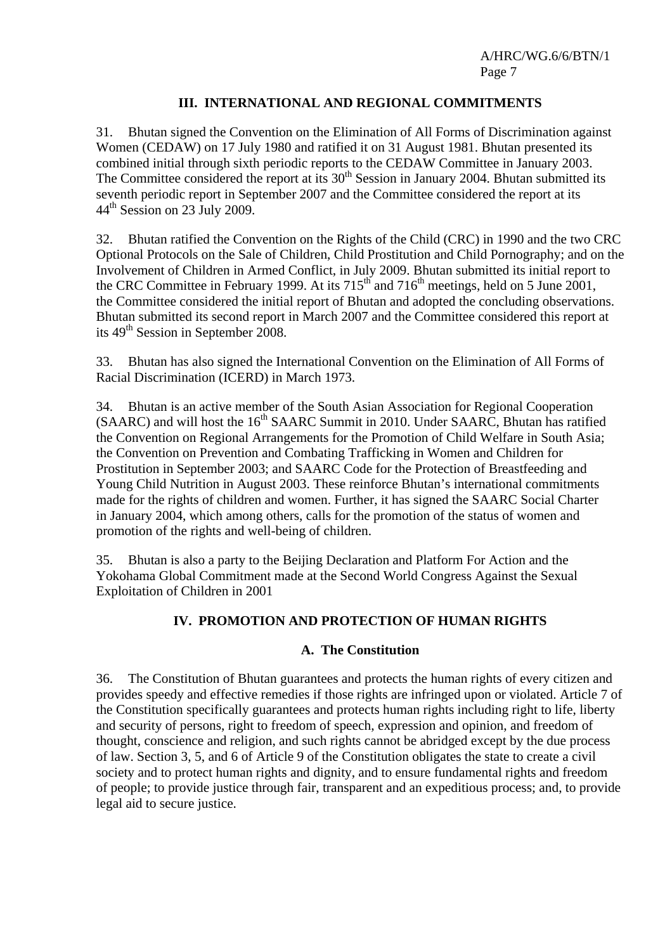### **III. INTERNATIONAL AND REGIONAL COMMITMENTS**

31. Bhutan signed the Convention on the Elimination of All Forms of Discrimination against Women (CEDAW) on 17 July 1980 and ratified it on 31 August 1981. Bhutan presented its combined initial through sixth periodic reports to the CEDAW Committee in January 2003. The Committee considered the report at its  $30<sup>th</sup>$  Session in January 2004. Bhutan submitted its seventh periodic report in September 2007 and the Committee considered the report at its 44th Session on 23 July 2009.

32. Bhutan ratified the Convention on the Rights of the Child (CRC) in 1990 and the two CRC Optional Protocols on the Sale of Children, Child Prostitution and Child Pornography; and on the Involvement of Children in Armed Conflict, in July 2009. Bhutan submitted its initial report to the CRC Committee in February 1999. At its  $715<sup>th</sup>$  and  $716<sup>th</sup>$  meetings, held on 5 June 2001, the Committee considered the initial report of Bhutan and adopted the concluding observations. Bhutan submitted its second report in March 2007 and the Committee considered this report at its 49<sup>th</sup> Session in September 2008.

33. Bhutan has also signed the International Convention on the Elimination of All Forms of Racial Discrimination (ICERD) in March 1973.

34. Bhutan is an active member of the South Asian Association for Regional Cooperation  $(SAARC)$  and will host the 16<sup>th</sup> SAARC Summit in 2010. Under SAARC, Bhutan has ratified the Convention on Regional Arrangements for the Promotion of Child Welfare in South Asia; the Convention on Prevention and Combating Trafficking in Women and Children for Prostitution in September 2003; and SAARC Code for the Protection of Breastfeeding and Young Child Nutrition in August 2003. These reinforce Bhutan's international commitments made for the rights of children and women. Further, it has signed the SAARC Social Charter in January 2004, which among others, calls for the promotion of the status of women and promotion of the rights and well-being of children.

35. Bhutan is also a party to the Beijing Declaration and Platform For Action and the Yokohama Global Commitment made at the Second World Congress Against the Sexual Exploitation of Children in 2001

### **IV. PROMOTION AND PROTECTION OF HUMAN RIGHTS**

### **A. The Constitution**

36. The Constitution of Bhutan guarantees and protects the human rights of every citizen and provides speedy and effective remedies if those rights are infringed upon or violated. Article 7 of the Constitution specifically guarantees and protects human rights including right to life, liberty and security of persons, right to freedom of speech, expression and opinion, and freedom of thought, conscience and religion, and such rights cannot be abridged except by the due process of law. Section 3, 5, and 6 of Article 9 of the Constitution obligates the state to create a civil society and to protect human rights and dignity, and to ensure fundamental rights and freedom of people; to provide justice through fair, transparent and an expeditious process; and, to provide legal aid to secure justice.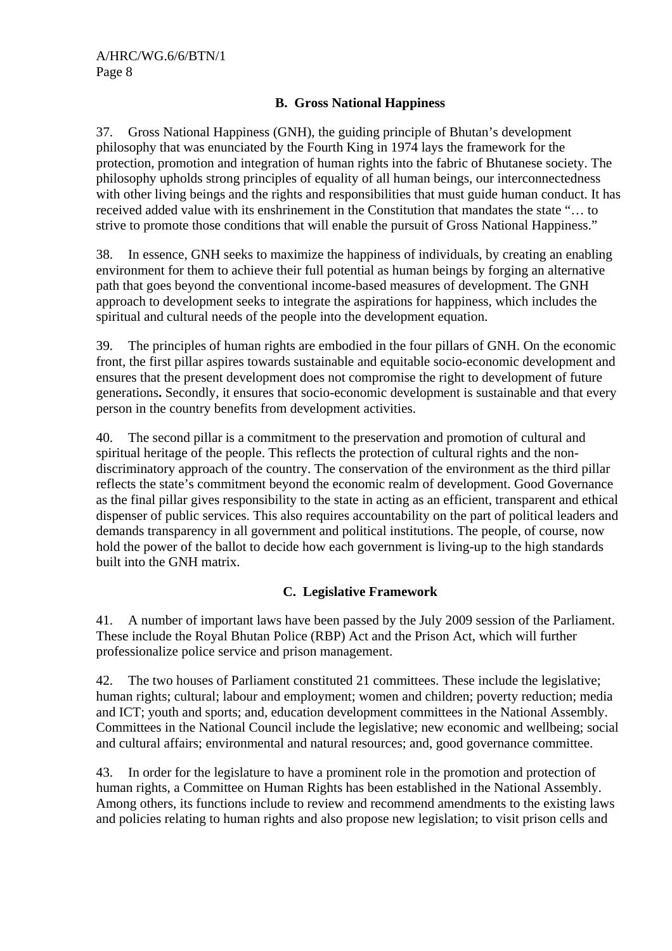### **B. Gross National Happiness**

37. Gross National Happiness (GNH), the guiding principle of Bhutan's development philosophy that was enunciated by the Fourth King in 1974 lays the framework for the protection, promotion and integration of human rights into the fabric of Bhutanese society. The philosophy upholds strong principles of equality of all human beings, our interconnectedness with other living beings and the rights and responsibilities that must guide human conduct. It has received added value with its enshrinement in the Constitution that mandates the state "… to strive to promote those conditions that will enable the pursuit of Gross National Happiness."

38. In essence, GNH seeks to maximize the happiness of individuals, by creating an enabling environment for them to achieve their full potential as human beings by forging an alternative path that goes beyond the conventional income-based measures of development. The GNH approach to development seeks to integrate the aspirations for happiness, which includes the spiritual and cultural needs of the people into the development equation.

39. The principles of human rights are embodied in the four pillars of GNH. On the economic front, the first pillar aspires towards sustainable and equitable socio-economic development and ensures that the present development does not compromise the right to development of future generations**.** Secondly, it ensures that socio-economic development is sustainable and that every person in the country benefits from development activities.

40. The second pillar is a commitment to the preservation and promotion of cultural and spiritual heritage of the people. This reflects the protection of cultural rights and the nondiscriminatory approach of the country. The conservation of the environment as the third pillar reflects the state's commitment beyond the economic realm of development. Good Governance as the final pillar gives responsibility to the state in acting as an efficient, transparent and ethical dispenser of public services. This also requires accountability on the part of political leaders and demands transparency in all government and political institutions. The people, of course, now hold the power of the ballot to decide how each government is living-up to the high standards built into the GNH matrix.

### **C. Legislative Framework**

41. A number of important laws have been passed by the July 2009 session of the Parliament. These include the Royal Bhutan Police (RBP) Act and the Prison Act, which will further professionalize police service and prison management.

42. The two houses of Parliament constituted 21 committees. These include the legislative; human rights; cultural; labour and employment; women and children; poverty reduction; media and ICT; youth and sports; and, education development committees in the National Assembly. Committees in the National Council include the legislative; new economic and wellbeing; social and cultural affairs; environmental and natural resources; and, good governance committee.

43. In order for the legislature to have a prominent role in the promotion and protection of human rights, a Committee on Human Rights has been established in the National Assembly. Among others, its functions include to review and recommend amendments to the existing laws and policies relating to human rights and also propose new legislation; to visit prison cells and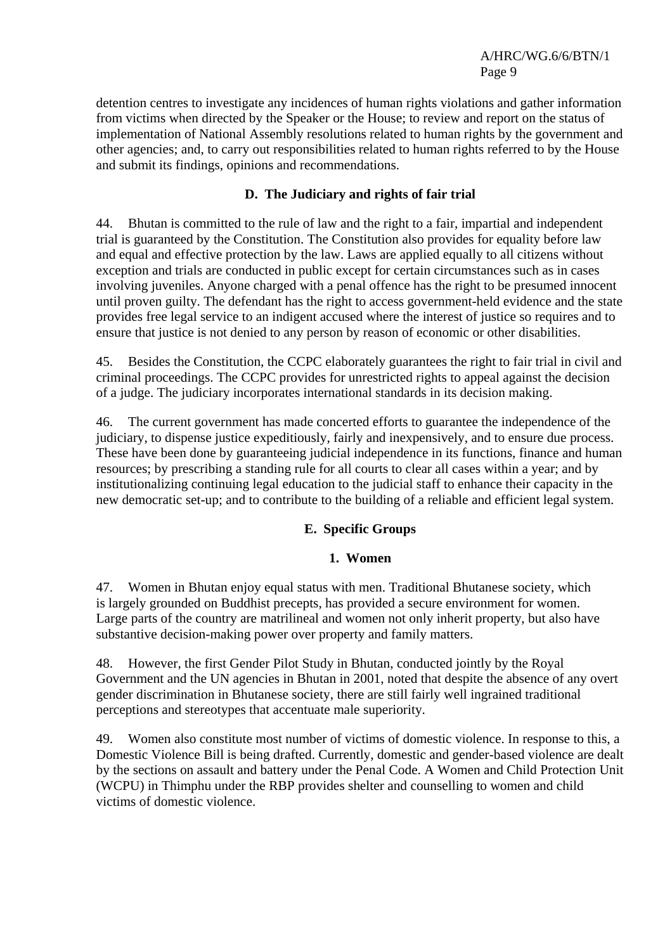detention centres to investigate any incidences of human rights violations and gather information from victims when directed by the Speaker or the House; to review and report on the status of implementation of National Assembly resolutions related to human rights by the government and other agencies; and, to carry out responsibilities related to human rights referred to by the House and submit its findings, opinions and recommendations.

# **D. The Judiciary and rights of fair trial**

44. Bhutan is committed to the rule of law and the right to a fair, impartial and independent trial is guaranteed by the Constitution. The Constitution also provides for equality before law and equal and effective protection by the law. Laws are applied equally to all citizens without exception and trials are conducted in public except for certain circumstances such as in cases involving juveniles. Anyone charged with a penal offence has the right to be presumed innocent until proven guilty. The defendant has the right to access government-held evidence and the state provides free legal service to an indigent accused where the interest of justice so requires and to ensure that justice is not denied to any person by reason of economic or other disabilities.

45. Besides the Constitution, the CCPC elaborately guarantees the right to fair trial in civil and criminal proceedings. The CCPC provides for unrestricted rights to appeal against the decision of a judge. The judiciary incorporates international standards in its decision making.

46. The current government has made concerted efforts to guarantee the independence of the judiciary, to dispense justice expeditiously, fairly and inexpensively, and to ensure due process. These have been done by guaranteeing judicial independence in its functions, finance and human resources; by prescribing a standing rule for all courts to clear all cases within a year; and by institutionalizing continuing legal education to the judicial staff to enhance their capacity in the new democratic set-up; and to contribute to the building of a reliable and efficient legal system.

### **E. Specific Groups**

### **1. Women**

47. Women in Bhutan enjoy equal status with men. Traditional Bhutanese society, which is largely grounded on Buddhist precepts, has provided a secure environment for women. Large parts of the country are matrilineal and women not only inherit property, but also have substantive decision-making power over property and family matters.

48. However, the first Gender Pilot Study in Bhutan, conducted jointly by the Royal Government and the UN agencies in Bhutan in 2001, noted that despite the absence of any overt gender discrimination in Bhutanese society, there are still fairly well ingrained traditional perceptions and stereotypes that accentuate male superiority.

49. Women also constitute most number of victims of domestic violence. In response to this, a Domestic Violence Bill is being drafted. Currently, domestic and gender-based violence are dealt by the sections on assault and battery under the Penal Code. A Women and Child Protection Unit (WCPU) in Thimphu under the RBP provides shelter and counselling to women and child victims of domestic violence.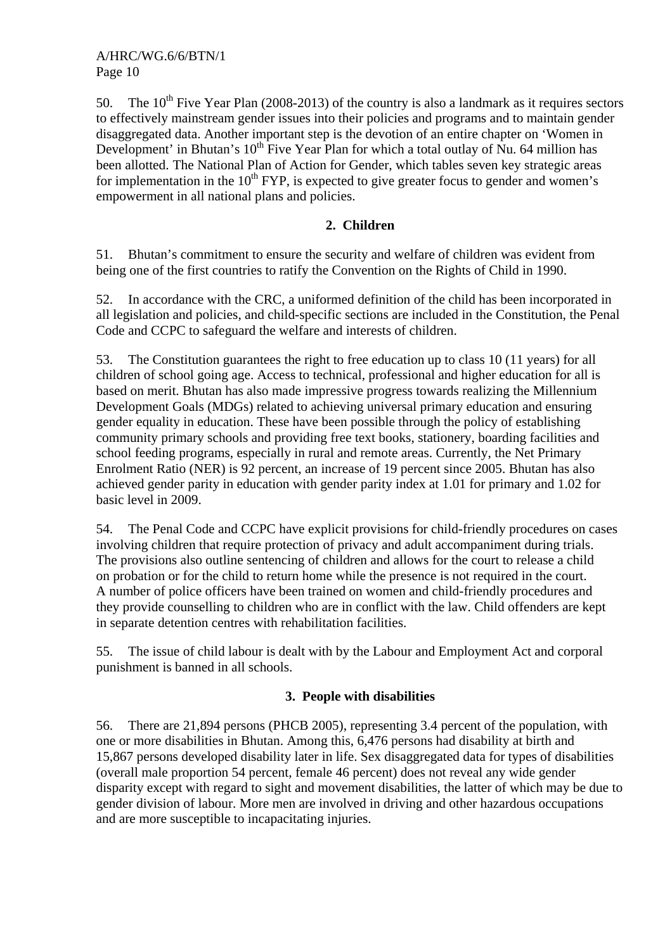50. The  $10^{th}$  Five Year Plan (2008-2013) of the country is also a landmark as it requires sectors to effectively mainstream gender issues into their policies and programs and to maintain gender disaggregated data. Another important step is the devotion of an entire chapter on 'Women in Development' in Bhutan's  $10^{th}$  Five Year Plan for which a total outlay of Nu. 64 million has been allotted. The National Plan of Action for Gender, which tables seven key strategic areas for implementation in the 10<sup>th</sup> FYP, is expected to give greater focus to gender and women's empowerment in all national plans and policies.

# **2. Children**

51. Bhutan's commitment to ensure the security and welfare of children was evident from being one of the first countries to ratify the Convention on the Rights of Child in 1990.

52. In accordance with the CRC, a uniformed definition of the child has been incorporated in all legislation and policies, and child-specific sections are included in the Constitution, the Penal Code and CCPC to safeguard the welfare and interests of children.

53. The Constitution guarantees the right to free education up to class 10 (11 years) for all children of school going age. Access to technical, professional and higher education for all is based on merit. Bhutan has also made impressive progress towards realizing the Millennium Development Goals (MDGs) related to achieving universal primary education and ensuring gender equality in education. These have been possible through the policy of establishing community primary schools and providing free text books, stationery, boarding facilities and school feeding programs, especially in rural and remote areas. Currently, the Net Primary Enrolment Ratio (NER) is 92 percent, an increase of 19 percent since 2005. Bhutan has also achieved gender parity in education with gender parity index at 1.01 for primary and 1.02 for basic level in 2009.

54. The Penal Code and CCPC have explicit provisions for child-friendly procedures on cases involving children that require protection of privacy and adult accompaniment during trials. The provisions also outline sentencing of children and allows for the court to release a child on probation or for the child to return home while the presence is not required in the court. A number of police officers have been trained on women and child-friendly procedures and they provide counselling to children who are in conflict with the law. Child offenders are kept in separate detention centres with rehabilitation facilities.

55. The issue of child labour is dealt with by the Labour and Employment Act and corporal punishment is banned in all schools.

### **3. People with disabilities**

56. There are 21,894 persons (PHCB 2005), representing 3.4 percent of the population, with one or more disabilities in Bhutan. Among this, 6,476 persons had disability at birth and 15,867 persons developed disability later in life. Sex disaggregated data for types of disabilities (overall male proportion 54 percent, female 46 percent) does not reveal any wide gender disparity except with regard to sight and movement disabilities, the latter of which may be due to gender division of labour. More men are involved in driving and other hazardous occupations and are more susceptible to incapacitating injuries.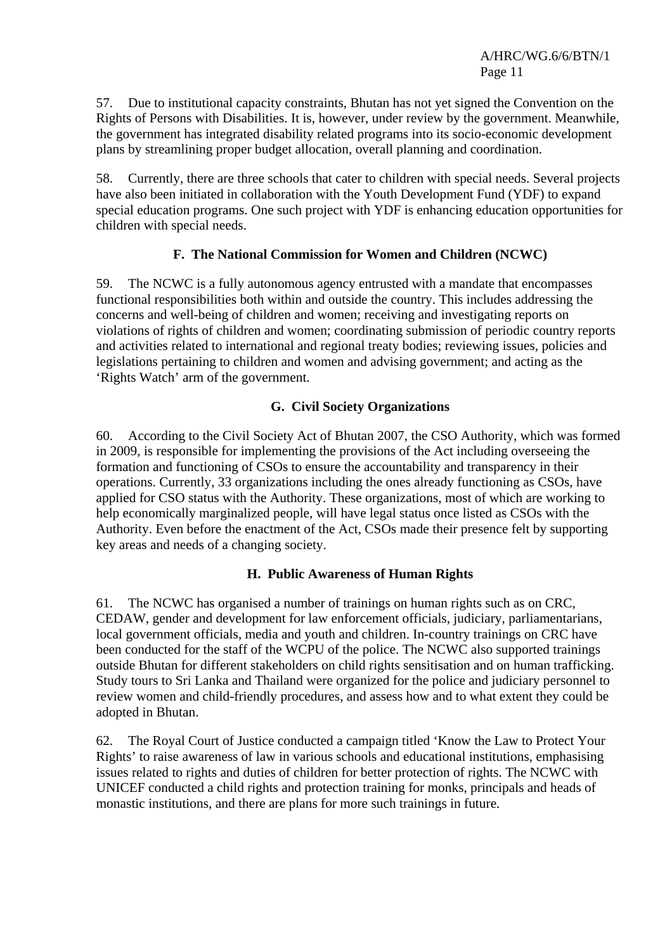57. Due to institutional capacity constraints, Bhutan has not yet signed the Convention on the Rights of Persons with Disabilities. It is, however, under review by the government. Meanwhile, the government has integrated disability related programs into its socio-economic development plans by streamlining proper budget allocation, overall planning and coordination.

58. Currently, there are three schools that cater to children with special needs. Several projects have also been initiated in collaboration with the Youth Development Fund (YDF) to expand special education programs. One such project with YDF is enhancing education opportunities for children with special needs.

# **F. The National Commission for Women and Children (NCWC)**

59. The NCWC is a fully autonomous agency entrusted with a mandate that encompasses functional responsibilities both within and outside the country. This includes addressing the concerns and well-being of children and women; receiving and investigating reports on violations of rights of children and women; coordinating submission of periodic country reports and activities related to international and regional treaty bodies; reviewing issues, policies and legislations pertaining to children and women and advising government; and acting as the 'Rights Watch' arm of the government.

# **G. Civil Society Organizations**

60. According to the Civil Society Act of Bhutan 2007, the CSO Authority, which was formed in 2009, is responsible for implementing the provisions of the Act including overseeing the formation and functioning of CSOs to ensure the accountability and transparency in their operations. Currently, 33 organizations including the ones already functioning as CSOs, have applied for CSO status with the Authority. These organizations, most of which are working to help economically marginalized people, will have legal status once listed as CSOs with the Authority. Even before the enactment of the Act, CSOs made their presence felt by supporting key areas and needs of a changing society.

### **H. Public Awareness of Human Rights**

61. The NCWC has organised a number of trainings on human rights such as on CRC, CEDAW, gender and development for law enforcement officials, judiciary, parliamentarians, local government officials, media and youth and children. In-country trainings on CRC have been conducted for the staff of the WCPU of the police. The NCWC also supported trainings outside Bhutan for different stakeholders on child rights sensitisation and on human trafficking. Study tours to Sri Lanka and Thailand were organized for the police and judiciary personnel to review women and child-friendly procedures, and assess how and to what extent they could be adopted in Bhutan.

62. The Royal Court of Justice conducted a campaign titled 'Know the Law to Protect Your Rights' to raise awareness of law in various schools and educational institutions, emphasising issues related to rights and duties of children for better protection of rights. The NCWC with UNICEF conducted a child rights and protection training for monks, principals and heads of monastic institutions, and there are plans for more such trainings in future.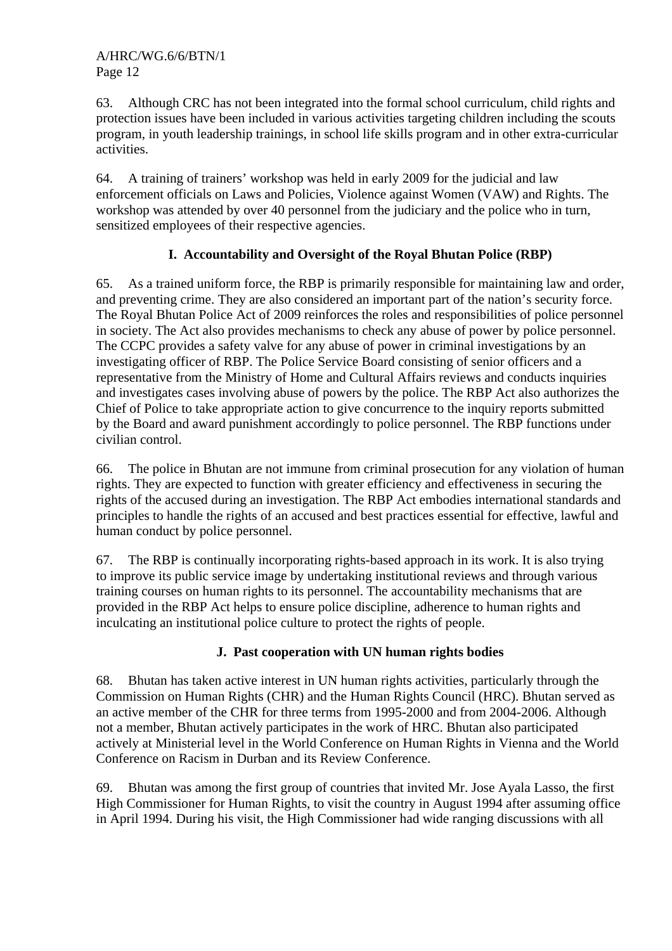63. Although CRC has not been integrated into the formal school curriculum, child rights and protection issues have been included in various activities targeting children including the scouts program, in youth leadership trainings, in school life skills program and in other extra-curricular activities.

64. A training of trainers' workshop was held in early 2009 for the judicial and law enforcement officials on Laws and Policies, Violence against Women (VAW) and Rights. The workshop was attended by over 40 personnel from the judiciary and the police who in turn, sensitized employees of their respective agencies.

# **I. Accountability and Oversight of the Royal Bhutan Police (RBP)**

65. As a trained uniform force, the RBP is primarily responsible for maintaining law and order, and preventing crime. They are also considered an important part of the nation's security force. The Royal Bhutan Police Act of 2009 reinforces the roles and responsibilities of police personnel in society. The Act also provides mechanisms to check any abuse of power by police personnel. The CCPC provides a safety valve for any abuse of power in criminal investigations by an investigating officer of RBP. The Police Service Board consisting of senior officers and a representative from the Ministry of Home and Cultural Affairs reviews and conducts inquiries and investigates cases involving abuse of powers by the police. The RBP Act also authorizes the Chief of Police to take appropriate action to give concurrence to the inquiry reports submitted by the Board and award punishment accordingly to police personnel. The RBP functions under civilian control.

66. The police in Bhutan are not immune from criminal prosecution for any violation of human rights. They are expected to function with greater efficiency and effectiveness in securing the rights of the accused during an investigation. The RBP Act embodies international standards and principles to handle the rights of an accused and best practices essential for effective, lawful and human conduct by police personnel.

67. The RBP is continually incorporating rights-based approach in its work. It is also trying to improve its public service image by undertaking institutional reviews and through various training courses on human rights to its personnel. The accountability mechanisms that are provided in the RBP Act helps to ensure police discipline, adherence to human rights and inculcating an institutional police culture to protect the rights of people.

### **J. Past cooperation with UN human rights bodies**

68. Bhutan has taken active interest in UN human rights activities, particularly through the Commission on Human Rights (CHR) and the Human Rights Council (HRC). Bhutan served as an active member of the CHR for three terms from 1995-2000 and from 2004-2006. Although not a member, Bhutan actively participates in the work of HRC. Bhutan also participated actively at Ministerial level in the World Conference on Human Rights in Vienna and the World Conference on Racism in Durban and its Review Conference.

69. Bhutan was among the first group of countries that invited Mr. Jose Ayala Lasso, the first High Commissioner for Human Rights, to visit the country in August 1994 after assuming office in April 1994. During his visit, the High Commissioner had wide ranging discussions with all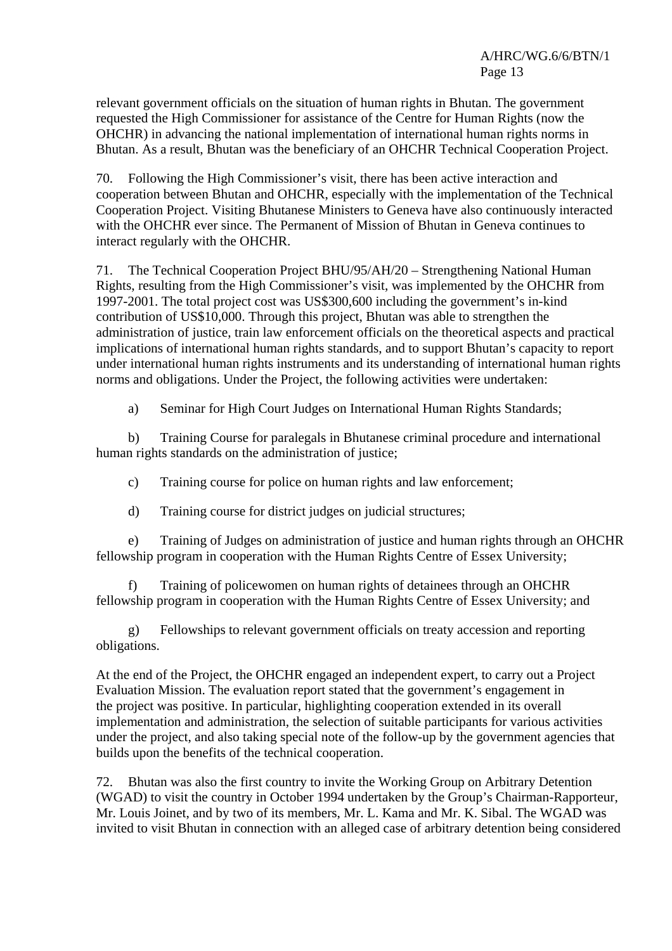relevant government officials on the situation of human rights in Bhutan. The government requested the High Commissioner for assistance of the Centre for Human Rights (now the OHCHR) in advancing the national implementation of international human rights norms in Bhutan. As a result, Bhutan was the beneficiary of an OHCHR Technical Cooperation Project.

70. Following the High Commissioner's visit, there has been active interaction and cooperation between Bhutan and OHCHR, especially with the implementation of the Technical Cooperation Project. Visiting Bhutanese Ministers to Geneva have also continuously interacted with the OHCHR ever since. The Permanent of Mission of Bhutan in Geneva continues to interact regularly with the OHCHR.

71. The Technical Cooperation Project BHU/95/AH/20 – Strengthening National Human Rights, resulting from the High Commissioner's visit, was implemented by the OHCHR from 1997-2001. The total project cost was US\$300,600 including the government's in-kind contribution of US\$10,000. Through this project, Bhutan was able to strengthen the administration of justice, train law enforcement officials on the theoretical aspects and practical implications of international human rights standards, and to support Bhutan's capacity to report under international human rights instruments and its understanding of international human rights norms and obligations. Under the Project, the following activities were undertaken:

a) Seminar for High Court Judges on International Human Rights Standards;

 b) Training Course for paralegals in Bhutanese criminal procedure and international human rights standards on the administration of justice:

c) Training course for police on human rights and law enforcement;

d) Training course for district judges on judicial structures;

 e) Training of Judges on administration of justice and human rights through an OHCHR fellowship program in cooperation with the Human Rights Centre of Essex University;

 f) Training of policewomen on human rights of detainees through an OHCHR fellowship program in cooperation with the Human Rights Centre of Essex University; and

 g) Fellowships to relevant government officials on treaty accession and reporting obligations.

At the end of the Project, the OHCHR engaged an independent expert, to carry out a Project Evaluation Mission. The evaluation report stated that the government's engagement in the project was positive. In particular, highlighting cooperation extended in its overall implementation and administration, the selection of suitable participants for various activities under the project, and also taking special note of the follow-up by the government agencies that builds upon the benefits of the technical cooperation.

72. Bhutan was also the first country to invite the Working Group on Arbitrary Detention (WGAD) to visit the country in October 1994 undertaken by the Group's Chairman-Rapporteur, Mr. Louis Joinet, and by two of its members, Mr. L. Kama and Mr. K. Sibal. The WGAD was invited to visit Bhutan in connection with an alleged case of arbitrary detention being considered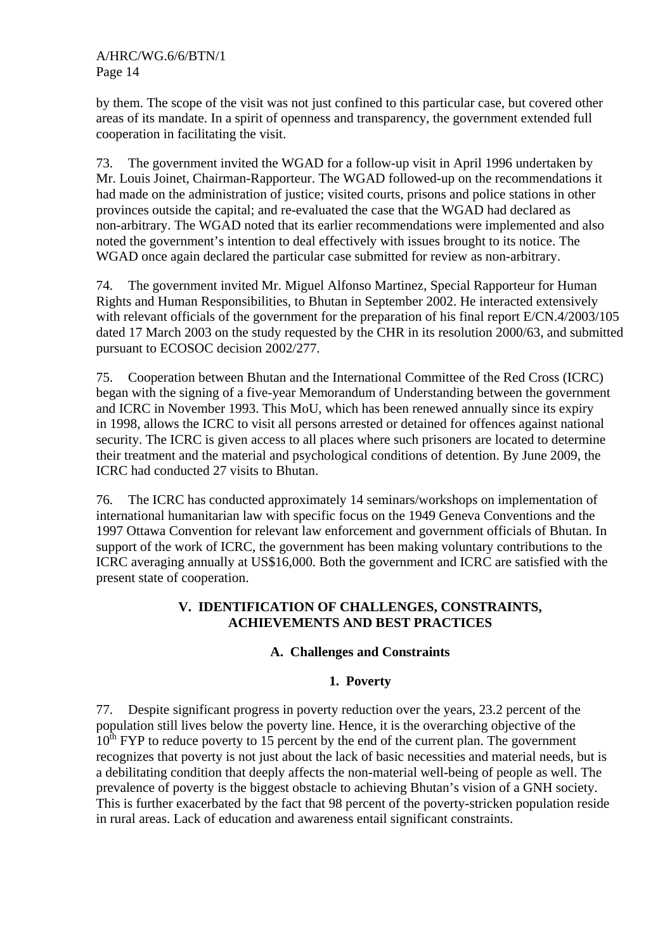by them. The scope of the visit was not just confined to this particular case, but covered other areas of its mandate. In a spirit of openness and transparency, the government extended full cooperation in facilitating the visit.

73. The government invited the WGAD for a follow-up visit in April 1996 undertaken by Mr. Louis Joinet, Chairman-Rapporteur. The WGAD followed-up on the recommendations it had made on the administration of justice; visited courts, prisons and police stations in other provinces outside the capital; and re-evaluated the case that the WGAD had declared as non-arbitrary. The WGAD noted that its earlier recommendations were implemented and also noted the government's intention to deal effectively with issues brought to its notice. The WGAD once again declared the particular case submitted for review as non-arbitrary.

74. The government invited Mr. Miguel Alfonso Martinez, Special Rapporteur for Human Rights and Human Responsibilities, to Bhutan in September 2002. He interacted extensively with relevant officials of the government for the preparation of his final report E/CN.4/2003/105 dated 17 March 2003 on the study requested by the CHR in its resolution 2000/63, and submitted pursuant to ECOSOC decision 2002/277.

75. Cooperation between Bhutan and the International Committee of the Red Cross (ICRC) began with the signing of a five-year Memorandum of Understanding between the government and ICRC in November 1993. This MoU, which has been renewed annually since its expiry in 1998, allows the ICRC to visit all persons arrested or detained for offences against national security. The ICRC is given access to all places where such prisoners are located to determine their treatment and the material and psychological conditions of detention. By June 2009, the ICRC had conducted 27 visits to Bhutan.

76. The ICRC has conducted approximately 14 seminars/workshops on implementation of international humanitarian law with specific focus on the 1949 Geneva Conventions and the 1997 Ottawa Convention for relevant law enforcement and government officials of Bhutan. In support of the work of ICRC, the government has been making voluntary contributions to the ICRC averaging annually at US\$16,000. Both the government and ICRC are satisfied with the present state of cooperation.

# **V. IDENTIFICATION OF CHALLENGES, CONSTRAINTS, ACHIEVEMENTS AND BEST PRACTICES**

### **A. Challenges and Constraints**

# **1. Poverty**

77. Despite significant progress in poverty reduction over the years, 23.2 percent of the population still lives below the poverty line. Hence, it is the overarching objective of the  $10^{th}$  FYP to reduce poverty to 15 percent by the end of the current plan. The government recognizes that poverty is not just about the lack of basic necessities and material needs, but is a debilitating condition that deeply affects the non-material well-being of people as well. The prevalence of poverty is the biggest obstacle to achieving Bhutan's vision of a GNH society. This is further exacerbated by the fact that 98 percent of the poverty-stricken population reside in rural areas. Lack of education and awareness entail significant constraints.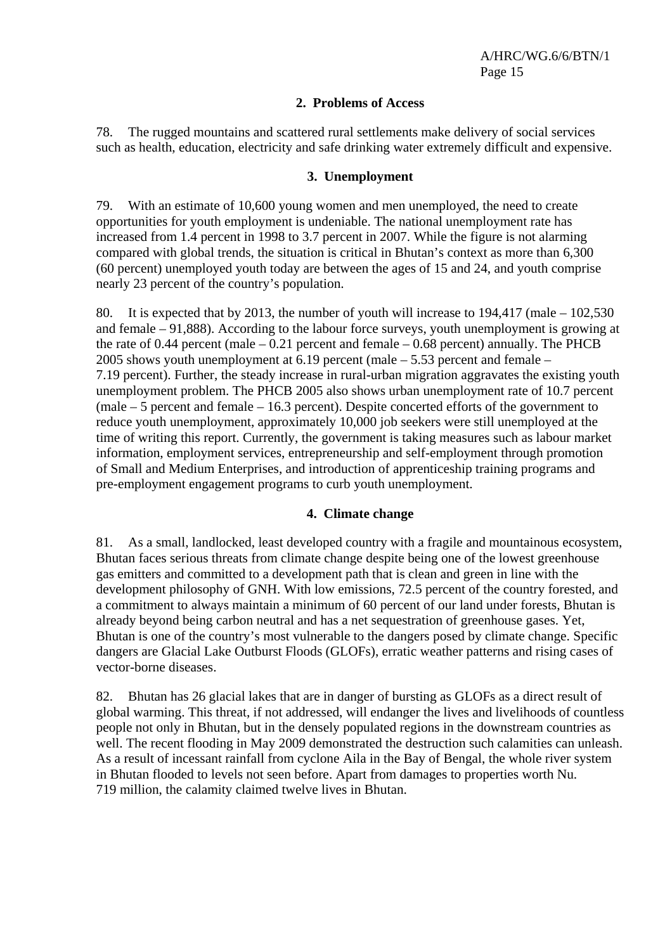### **2. Problems of Access**

78. The rugged mountains and scattered rural settlements make delivery of social services such as health, education, electricity and safe drinking water extremely difficult and expensive.

#### **3. Unemployment**

79. With an estimate of 10,600 young women and men unemployed, the need to create opportunities for youth employment is undeniable. The national unemployment rate has increased from 1.4 percent in 1998 to 3.7 percent in 2007. While the figure is not alarming compared with global trends, the situation is critical in Bhutan's context as more than 6,300 (60 percent) unemployed youth today are between the ages of 15 and 24, and youth comprise nearly 23 percent of the country's population.

80. It is expected that by 2013, the number of youth will increase to 194,417 (male – 102,530 and female – 91,888). According to the labour force surveys, youth unemployment is growing at the rate of 0.44 percent (male  $-0.21$  percent and female  $-0.68$  percent) annually. The PHCB 2005 shows youth unemployment at 6.19 percent (male – 5.53 percent and female – 7.19 percent). Further, the steady increase in rural-urban migration aggravates the existing youth unemployment problem. The PHCB 2005 also shows urban unemployment rate of 10.7 percent (male – 5 percent and female – 16.3 percent). Despite concerted efforts of the government to reduce youth unemployment, approximately 10,000 job seekers were still unemployed at the time of writing this report. Currently, the government is taking measures such as labour market information, employment services, entrepreneurship and self-employment through promotion of Small and Medium Enterprises, and introduction of apprenticeship training programs and pre-employment engagement programs to curb youth unemployment.

### **4. Climate change**

81. As a small, landlocked, least developed country with a fragile and mountainous ecosystem, Bhutan faces serious threats from climate change despite being one of the lowest greenhouse gas emitters and committed to a development path that is clean and green in line with the development philosophy of GNH. With low emissions, 72.5 percent of the country forested, and a commitment to always maintain a minimum of 60 percent of our land under forests, Bhutan is already beyond being carbon neutral and has a net sequestration of greenhouse gases. Yet, Bhutan is one of the country's most vulnerable to the dangers posed by climate change. Specific dangers are Glacial Lake Outburst Floods (GLOFs), erratic weather patterns and rising cases of vector-borne diseases.

82. Bhutan has 26 glacial lakes that are in danger of bursting as GLOFs as a direct result of global warming. This threat, if not addressed, will endanger the lives and livelihoods of countless people not only in Bhutan, but in the densely populated regions in the downstream countries as well. The recent flooding in May 2009 demonstrated the destruction such calamities can unleash. As a result of incessant rainfall from cyclone Aila in the Bay of Bengal, the whole river system in Bhutan flooded to levels not seen before. Apart from damages to properties worth Nu. 719 million, the calamity claimed twelve lives in Bhutan.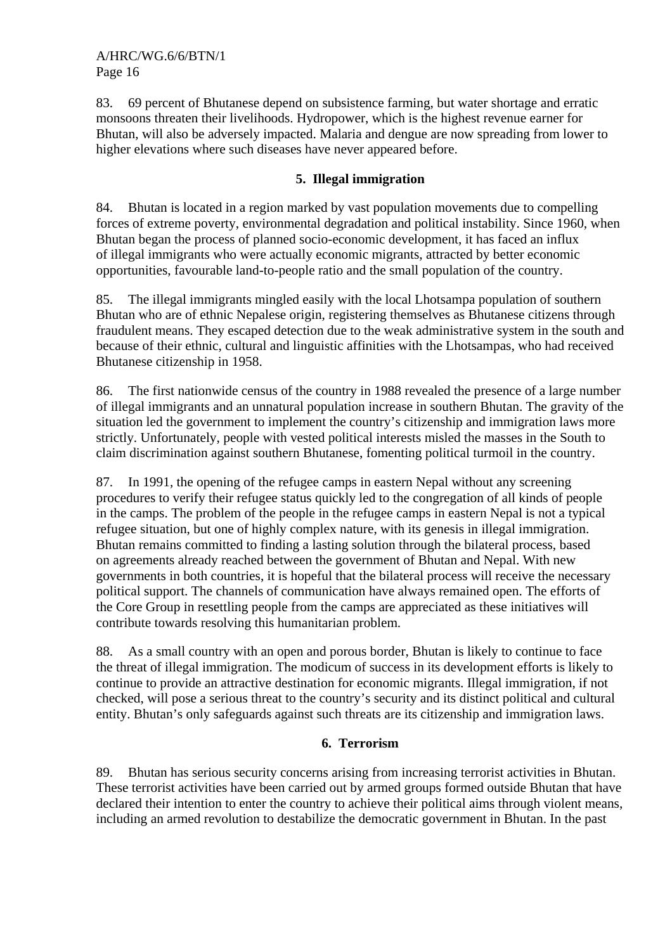83. 69 percent of Bhutanese depend on subsistence farming, but water shortage and erratic monsoons threaten their livelihoods. Hydropower, which is the highest revenue earner for Bhutan, will also be adversely impacted. Malaria and dengue are now spreading from lower to higher elevations where such diseases have never appeared before.

# **5. Illegal immigration**

84. Bhutan is located in a region marked by vast population movements due to compelling forces of extreme poverty, environmental degradation and political instability. Since 1960, when Bhutan began the process of planned socio-economic development, it has faced an influx of illegal immigrants who were actually economic migrants, attracted by better economic opportunities, favourable land-to-people ratio and the small population of the country.

85. The illegal immigrants mingled easily with the local Lhotsampa population of southern Bhutan who are of ethnic Nepalese origin, registering themselves as Bhutanese citizens through fraudulent means. They escaped detection due to the weak administrative system in the south and because of their ethnic, cultural and linguistic affinities with the Lhotsampas, who had received Bhutanese citizenship in 1958.

86. The first nationwide census of the country in 1988 revealed the presence of a large number of illegal immigrants and an unnatural population increase in southern Bhutan. The gravity of the situation led the government to implement the country's citizenship and immigration laws more strictly. Unfortunately, people with vested political interests misled the masses in the South to claim discrimination against southern Bhutanese, fomenting political turmoil in the country.

87. In 1991, the opening of the refugee camps in eastern Nepal without any screening procedures to verify their refugee status quickly led to the congregation of all kinds of people in the camps. The problem of the people in the refugee camps in eastern Nepal is not a typical refugee situation, but one of highly complex nature, with its genesis in illegal immigration. Bhutan remains committed to finding a lasting solution through the bilateral process, based on agreements already reached between the government of Bhutan and Nepal. With new governments in both countries, it is hopeful that the bilateral process will receive the necessary political support. The channels of communication have always remained open. The efforts of the Core Group in resettling people from the camps are appreciated as these initiatives will contribute towards resolving this humanitarian problem.

88. As a small country with an open and porous border, Bhutan is likely to continue to face the threat of illegal immigration. The modicum of success in its development efforts is likely to continue to provide an attractive destination for economic migrants. Illegal immigration, if not checked, will pose a serious threat to the country's security and its distinct political and cultural entity. Bhutan's only safeguards against such threats are its citizenship and immigration laws.

### **6. Terrorism**

89. Bhutan has serious security concerns arising from increasing terrorist activities in Bhutan. These terrorist activities have been carried out by armed groups formed outside Bhutan that have declared their intention to enter the country to achieve their political aims through violent means, including an armed revolution to destabilize the democratic government in Bhutan. In the past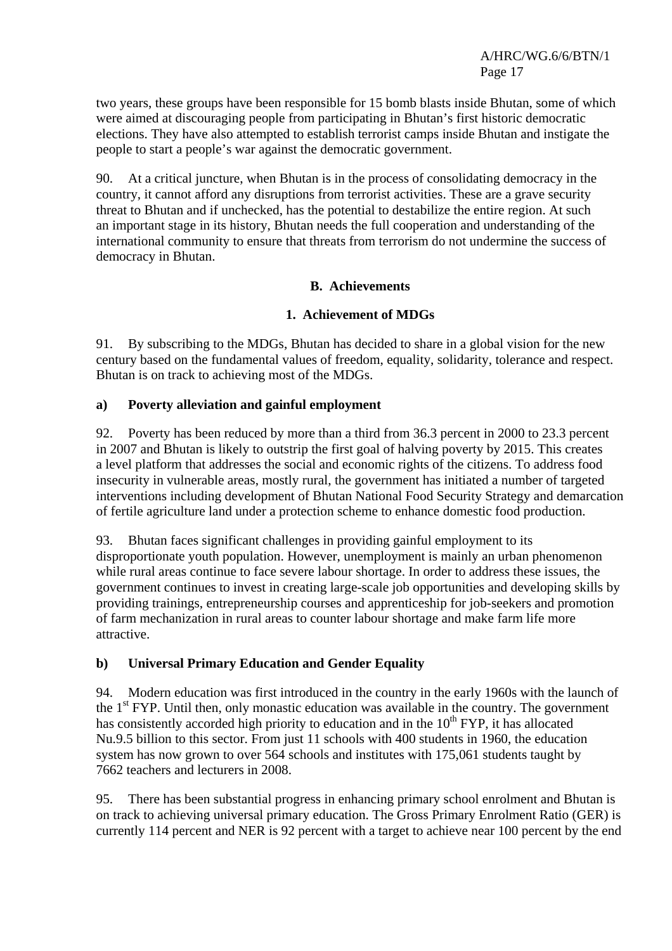two years, these groups have been responsible for 15 bomb blasts inside Bhutan, some of which were aimed at discouraging people from participating in Bhutan's first historic democratic elections. They have also attempted to establish terrorist camps inside Bhutan and instigate the people to start a people's war against the democratic government.

90. At a critical juncture, when Bhutan is in the process of consolidating democracy in the country, it cannot afford any disruptions from terrorist activities. These are a grave security threat to Bhutan and if unchecked, has the potential to destabilize the entire region. At such an important stage in its history, Bhutan needs the full cooperation and understanding of the international community to ensure that threats from terrorism do not undermine the success of democracy in Bhutan.

### **B. Achievements**

### **1. Achievement of MDGs**

91. By subscribing to the MDGs, Bhutan has decided to share in a global vision for the new century based on the fundamental values of freedom, equality, solidarity, tolerance and respect. Bhutan is on track to achieving most of the MDGs.

### **a) Poverty alleviation and gainful employment**

92. Poverty has been reduced by more than a third from 36.3 percent in 2000 to 23.3 percent in 2007 and Bhutan is likely to outstrip the first goal of halving poverty by 2015. This creates a level platform that addresses the social and economic rights of the citizens. To address food insecurity in vulnerable areas, mostly rural, the government has initiated a number of targeted interventions including development of Bhutan National Food Security Strategy and demarcation of fertile agriculture land under a protection scheme to enhance domestic food production.

93. Bhutan faces significant challenges in providing gainful employment to its disproportionate youth population. However, unemployment is mainly an urban phenomenon while rural areas continue to face severe labour shortage. In order to address these issues, the government continues to invest in creating large-scale job opportunities and developing skills by providing trainings, entrepreneurship courses and apprenticeship for job-seekers and promotion of farm mechanization in rural areas to counter labour shortage and make farm life more attractive.

### **b) Universal Primary Education and Gender Equality**

94. Modern education was first introduced in the country in the early 1960s with the launch of the  $1<sup>st</sup> FYP$ . Until then, only monastic education was available in the country. The government has consistently accorded high priority to education and in the  $10<sup>th</sup> FYP$ , it has allocated Nu.9.5 billion to this sector. From just 11 schools with 400 students in 1960, the education system has now grown to over 564 schools and institutes with 175,061 students taught by 7662 teachers and lecturers in 2008.

95. There has been substantial progress in enhancing primary school enrolment and Bhutan is on track to achieving universal primary education. The Gross Primary Enrolment Ratio (GER) is currently 114 percent and NER is 92 percent with a target to achieve near 100 percent by the end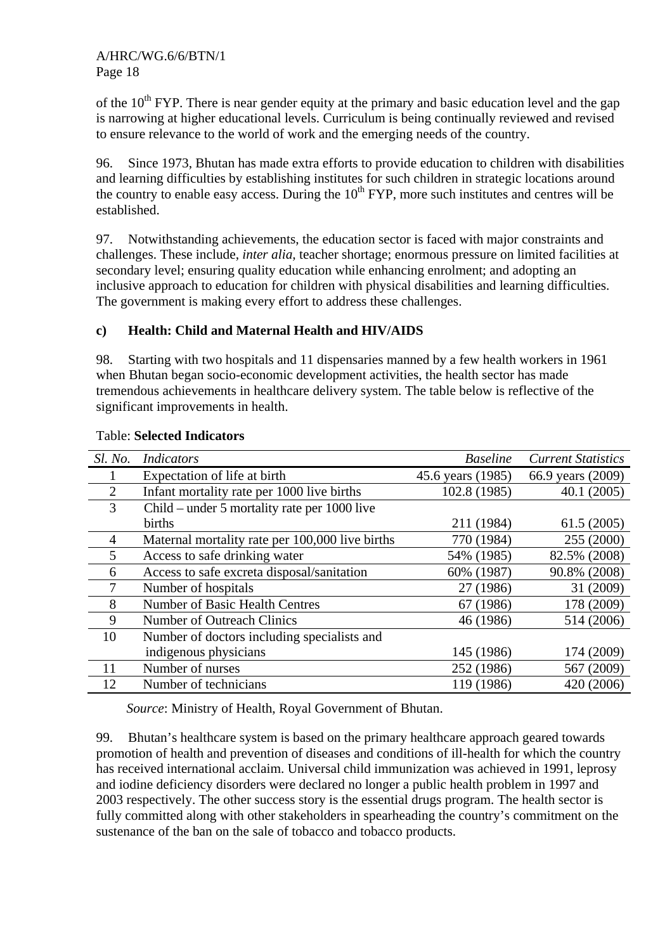of the  $10<sup>th</sup> FYP$ . There is near gender equity at the primary and basic education level and the gap is narrowing at higher educational levels. Curriculum is being continually reviewed and revised to ensure relevance to the world of work and the emerging needs of the country.

96. Since 1973, Bhutan has made extra efforts to provide education to children with disabilities and learning difficulties by establishing institutes for such children in strategic locations around the country to enable easy access. During the  $10<sup>th</sup> FYP$ , more such institutes and centres will be established.

97. Notwithstanding achievements, the education sector is faced with major constraints and challenges. These include, *inter alia,* teacher shortage; enormous pressure on limited facilities at secondary level; ensuring quality education while enhancing enrolment; and adopting an inclusive approach to education for children with physical disabilities and learning difficulties. The government is making every effort to address these challenges.

# **c) Health: Child and Maternal Health and HIV/AIDS**

98. Starting with two hospitals and 11 dispensaries manned by a few health workers in 1961 when Bhutan began socio-economic development activities, the health sector has made tremendous achievements in healthcare delivery system. The table below is reflective of the significant improvements in health.

| Sl. No.        | Indicators                                      | <i>Baseline</i>   | <b>Current Statistics</b> |
|----------------|-------------------------------------------------|-------------------|---------------------------|
|                | Expectation of life at birth                    | 45.6 years (1985) | 66.9 years (2009)         |
| $\overline{2}$ | Infant mortality rate per 1000 live births      | 102.8 (1985)      | 40.1(2005)                |
| 3              | Child – under 5 mortality rate per 1000 live    |                   |                           |
|                | births                                          | 211 (1984)        | 61.5(2005)                |
| 4              | Maternal mortality rate per 100,000 live births | 770 (1984)        | 255 (2000)                |
| 5              | Access to safe drinking water                   | 54% (1985)        | 82.5% (2008)              |
| 6              | Access to safe excreta disposal/sanitation      | 60% (1987)        | 90.8% (2008)              |
| 7              | Number of hospitals                             | 27 (1986)         | 31 (2009)                 |
| 8              | Number of Basic Health Centres                  | 67 (1986)         | 178 (2009)                |
| 9              | Number of Outreach Clinics                      | 46 (1986)         | 514 (2006)                |
| 10             | Number of doctors including specialists and     |                   |                           |
|                | indigenous physicians                           | 145 (1986)        | 174 (2009)                |
| 11             | Number of nurses                                | 252 (1986)        | 567 (2009)                |
| 12             | Number of technicians                           | 119 (1986)        | 420 (2006)                |

### Table: **Selected Indicators**

 *Source*: Ministry of Health, Royal Government of Bhutan.

99. Bhutan's healthcare system is based on the primary healthcare approach geared towards promotion of health and prevention of diseases and conditions of ill-health for which the country has received international acclaim. Universal child immunization was achieved in 1991, leprosy and iodine deficiency disorders were declared no longer a public health problem in 1997 and 2003 respectively. The other success story is the essential drugs program. The health sector is fully committed along with other stakeholders in spearheading the country's commitment on the sustenance of the ban on the sale of tobacco and tobacco products.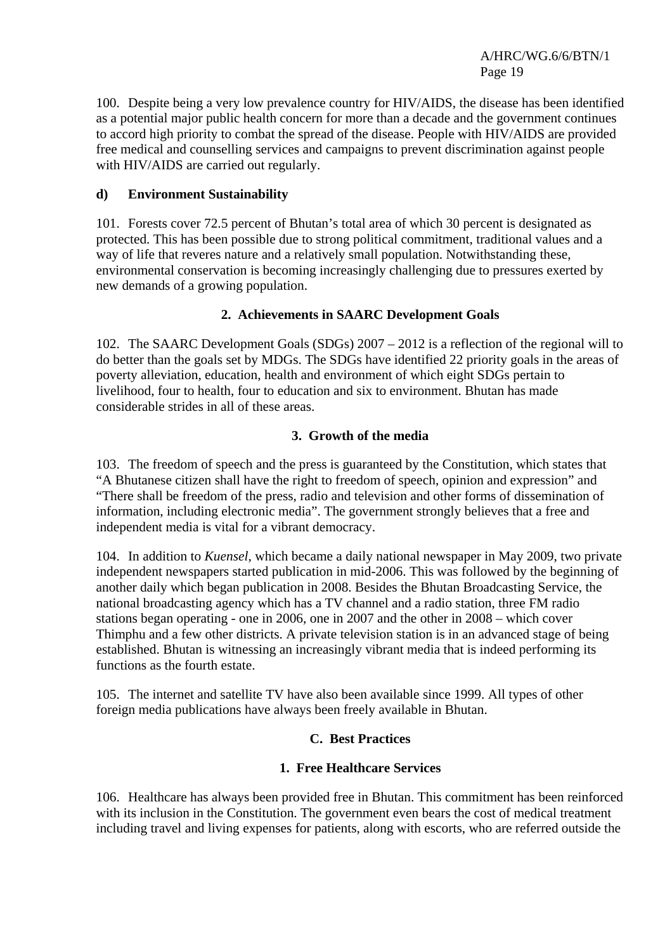100. Despite being a very low prevalence country for HIV/AIDS, the disease has been identified as a potential major public health concern for more than a decade and the government continues to accord high priority to combat the spread of the disease. People with HIV/AIDS are provided free medical and counselling services and campaigns to prevent discrimination against people with HIV/AIDS are carried out regularly.

### **d) Environment Sustainability**

101. Forests cover 72.5 percent of Bhutan's total area of which 30 percent is designated as protected. This has been possible due to strong political commitment, traditional values and a way of life that reveres nature and a relatively small population. Notwithstanding these, environmental conservation is becoming increasingly challenging due to pressures exerted by new demands of a growing population.

# **2. Achievements in SAARC Development Goals**

102. The SAARC Development Goals (SDGs) 2007 – 2012 is a reflection of the regional will to do better than the goals set by MDGs. The SDGs have identified 22 priority goals in the areas of poverty alleviation, education, health and environment of which eight SDGs pertain to livelihood, four to health, four to education and six to environment. Bhutan has made considerable strides in all of these areas.

# **3. Growth of the media**

103. The freedom of speech and the press is guaranteed by the Constitution, which states that "A Bhutanese citizen shall have the right to freedom of speech, opinion and expression" and "There shall be freedom of the press, radio and television and other forms of dissemination of information, including electronic media". The government strongly believes that a free and independent media is vital for a vibrant democracy.

104. In addition to *Kuensel*, which became a daily national newspaper in May 2009, two private independent newspapers started publication in mid-2006. This was followed by the beginning of another daily which began publication in 2008. Besides the Bhutan Broadcasting Service, the national broadcasting agency which has a TV channel and a radio station, three FM radio stations began operating - one in 2006, one in 2007 and the other in 2008 – which cover Thimphu and a few other districts. A private television station is in an advanced stage of being established. Bhutan is witnessing an increasingly vibrant media that is indeed performing its functions as the fourth estate.

105. The internet and satellite TV have also been available since 1999. All types of other foreign media publications have always been freely available in Bhutan.

### **C. Best Practices**

### **1. Free Healthcare Services**

106. Healthcare has always been provided free in Bhutan. This commitment has been reinforced with its inclusion in the Constitution. The government even bears the cost of medical treatment including travel and living expenses for patients, along with escorts, who are referred outside the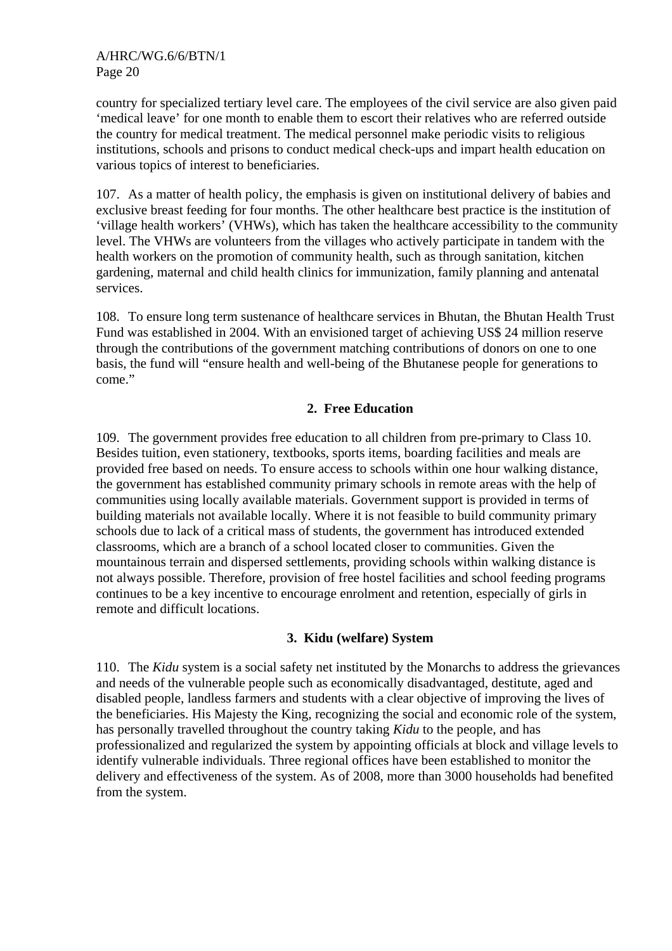country for specialized tertiary level care. The employees of the civil service are also given paid 'medical leave' for one month to enable them to escort their relatives who are referred outside the country for medical treatment. The medical personnel make periodic visits to religious institutions, schools and prisons to conduct medical check-ups and impart health education on various topics of interest to beneficiaries.

107. As a matter of health policy, the emphasis is given on institutional delivery of babies and exclusive breast feeding for four months. The other healthcare best practice is the institution of 'village health workers' (VHWs), which has taken the healthcare accessibility to the community level. The VHWs are volunteers from the villages who actively participate in tandem with the health workers on the promotion of community health, such as through sanitation, kitchen gardening, maternal and child health clinics for immunization, family planning and antenatal services.

108. To ensure long term sustenance of healthcare services in Bhutan, the Bhutan Health Trust Fund was established in 2004. With an envisioned target of achieving US\$ 24 million reserve through the contributions of the government matching contributions of donors on one to one basis, the fund will "ensure health and well-being of the Bhutanese people for generations to come."

### **2. Free Education**

109. The government provides free education to all children from pre-primary to Class 10. Besides tuition, even stationery, textbooks, sports items, boarding facilities and meals are provided free based on needs. To ensure access to schools within one hour walking distance, the government has established community primary schools in remote areas with the help of communities using locally available materials. Government support is provided in terms of building materials not available locally. Where it is not feasible to build community primary schools due to lack of a critical mass of students, the government has introduced extended classrooms, which are a branch of a school located closer to communities. Given the mountainous terrain and dispersed settlements, providing schools within walking distance is not always possible. Therefore, provision of free hostel facilities and school feeding programs continues to be a key incentive to encourage enrolment and retention, especially of girls in remote and difficult locations.

### **3. Kidu (welfare) System**

110. The *Kidu* system is a social safety net instituted by the Monarchs to address the grievances and needs of the vulnerable people such as economically disadvantaged, destitute, aged and disabled people, landless farmers and students with a clear objective of improving the lives of the beneficiaries. His Majesty the King, recognizing the social and economic role of the system, has personally travelled throughout the country taking *Kidu* to the people, and has professionalized and regularized the system by appointing officials at block and village levels to identify vulnerable individuals. Three regional offices have been established to monitor the delivery and effectiveness of the system. As of 2008, more than 3000 households had benefited from the system.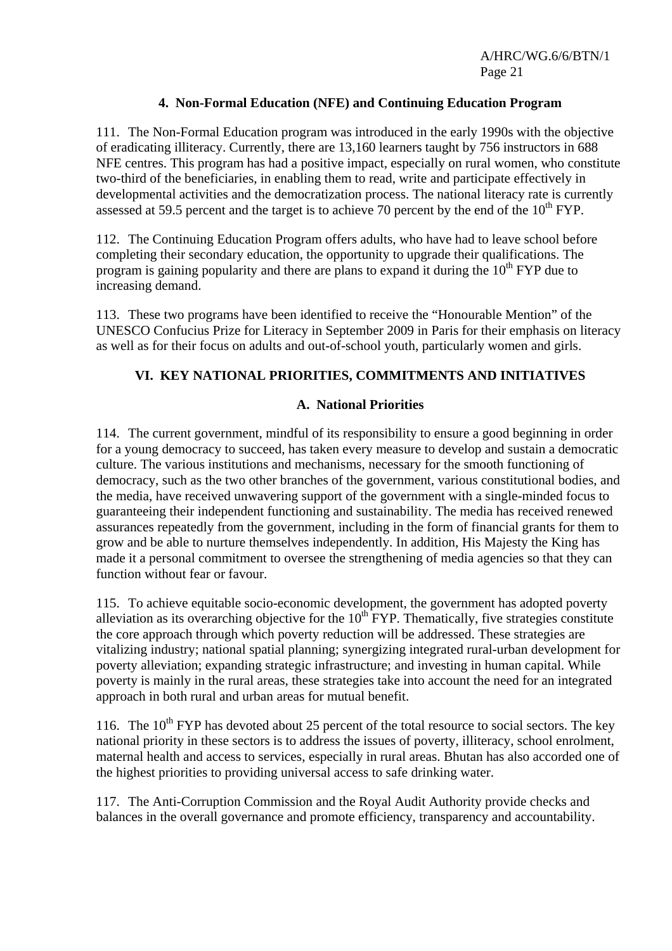### **4. Non-Formal Education (NFE) and Continuing Education Program**

111. The Non-Formal Education program was introduced in the early 1990s with the objective of eradicating illiteracy. Currently, there are 13,160 learners taught by 756 instructors in 688 NFE centres. This program has had a positive impact, especially on rural women, who constitute two-third of the beneficiaries, in enabling them to read, write and participate effectively in developmental activities and the democratization process. The national literacy rate is currently assessed at 59.5 percent and the target is to achieve 70 percent by the end of the  $10^{th}$  FYP.

112. The Continuing Education Program offers adults, who have had to leave school before completing their secondary education, the opportunity to upgrade their qualifications. The program is gaining popularity and there are plans to expand it during the  $10^{th}$  FYP due to increasing demand.

113. These two programs have been identified to receive the "Honourable Mention" of the UNESCO Confucius Prize for Literacy in September 2009 in Paris for their emphasis on literacy as well as for their focus on adults and out-of-school youth, particularly women and girls.

### **VI. KEY NATIONAL PRIORITIES, COMMITMENTS AND INITIATIVES**

### **A. National Priorities**

114. The current government, mindful of its responsibility to ensure a good beginning in order for a young democracy to succeed, has taken every measure to develop and sustain a democratic culture. The various institutions and mechanisms, necessary for the smooth functioning of democracy, such as the two other branches of the government, various constitutional bodies, and the media, have received unwavering support of the government with a single-minded focus to guaranteeing their independent functioning and sustainability. The media has received renewed assurances repeatedly from the government, including in the form of financial grants for them to grow and be able to nurture themselves independently. In addition, His Majesty the King has made it a personal commitment to oversee the strengthening of media agencies so that they can function without fear or favour.

115. To achieve equitable socio-economic development, the government has adopted poverty alleviation as its overarching objective for the  $10^{th}$  FYP. Thematically, five strategies constitute the core approach through which poverty reduction will be addressed. These strategies are vitalizing industry; national spatial planning; synergizing integrated rural-urban development for poverty alleviation; expanding strategic infrastructure; and investing in human capital. While poverty is mainly in the rural areas, these strategies take into account the need for an integrated approach in both rural and urban areas for mutual benefit.

116. The  $10^{th}$  FYP has devoted about 25 percent of the total resource to social sectors. The key national priority in these sectors is to address the issues of poverty, illiteracy, school enrolment, maternal health and access to services, especially in rural areas. Bhutan has also accorded one of the highest priorities to providing universal access to safe drinking water.

117. The Anti-Corruption Commission and the Royal Audit Authority provide checks and balances in the overall governance and promote efficiency, transparency and accountability.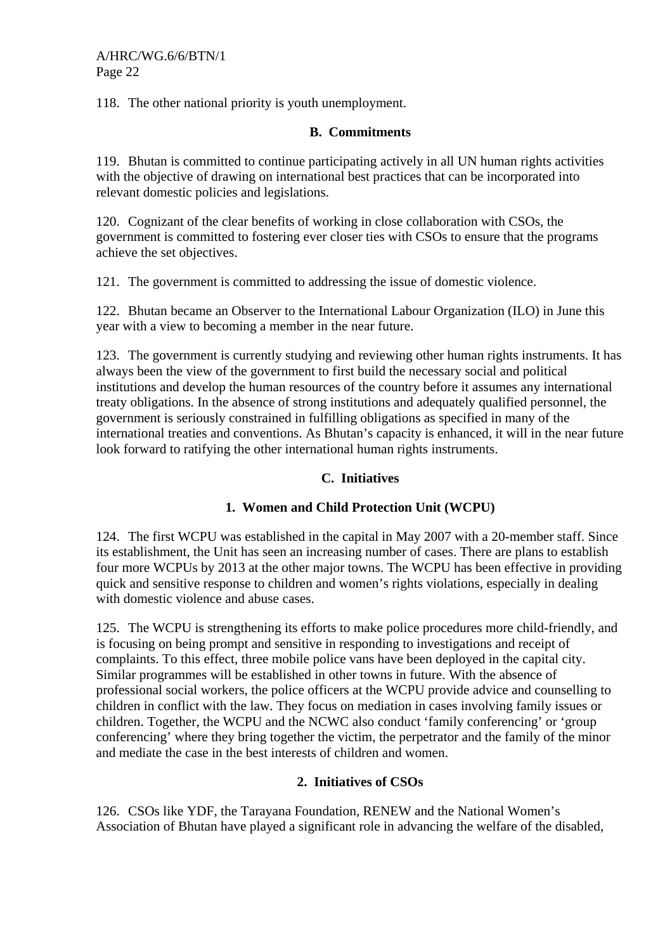118. The other national priority is youth unemployment.

### **B. Commitments**

119. Bhutan is committed to continue participating actively in all UN human rights activities with the objective of drawing on international best practices that can be incorporated into relevant domestic policies and legislations.

120. Cognizant of the clear benefits of working in close collaboration with CSOs, the government is committed to fostering ever closer ties with CSOs to ensure that the programs achieve the set objectives.

121. The government is committed to addressing the issue of domestic violence.

122. Bhutan became an Observer to the International Labour Organization (ILO) in June this year with a view to becoming a member in the near future.

123. The government is currently studying and reviewing other human rights instruments. It has always been the view of the government to first build the necessary social and political institutions and develop the human resources of the country before it assumes any international treaty obligations. In the absence of strong institutions and adequately qualified personnel, the government is seriously constrained in fulfilling obligations as specified in many of the international treaties and conventions. As Bhutan's capacity is enhanced, it will in the near future look forward to ratifying the other international human rights instruments.

### **C. Initiatives**

### **1. Women and Child Protection Unit (WCPU)**

124. The first WCPU was established in the capital in May 2007 with a 20-member staff. Since its establishment, the Unit has seen an increasing number of cases. There are plans to establish four more WCPUs by 2013 at the other major towns. The WCPU has been effective in providing quick and sensitive response to children and women's rights violations, especially in dealing with domestic violence and abuse cases.

125. The WCPU is strengthening its efforts to make police procedures more child-friendly, and is focusing on being prompt and sensitive in responding to investigations and receipt of complaints. To this effect, three mobile police vans have been deployed in the capital city. Similar programmes will be established in other towns in future. With the absence of professional social workers, the police officers at the WCPU provide advice and counselling to children in conflict with the law. They focus on mediation in cases involving family issues or children. Together, the WCPU and the NCWC also conduct 'family conferencing' or 'group conferencing' where they bring together the victim, the perpetrator and the family of the minor and mediate the case in the best interests of children and women.

### **2. Initiatives of CSOs**

126. CSOs like YDF, the Tarayana Foundation, RENEW and the National Women's Association of Bhutan have played a significant role in advancing the welfare of the disabled,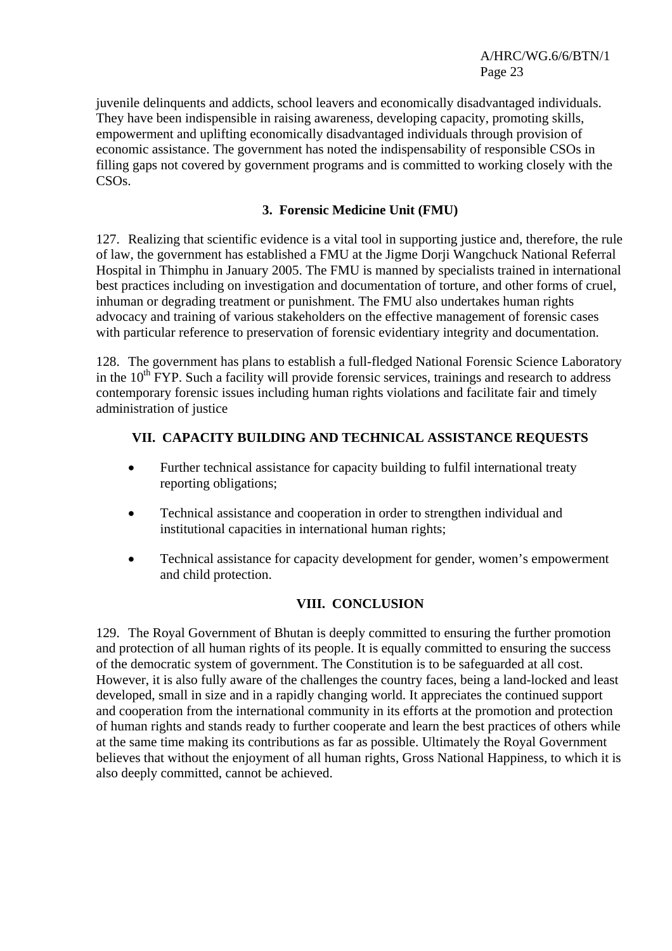juvenile delinquents and addicts, school leavers and economically disadvantaged individuals. They have been indispensible in raising awareness, developing capacity, promoting skills, empowerment and uplifting economically disadvantaged individuals through provision of economic assistance. The government has noted the indispensability of responsible CSOs in filling gaps not covered by government programs and is committed to working closely with the CSOs.

### **3. Forensic Medicine Unit (FMU)**

127. Realizing that scientific evidence is a vital tool in supporting justice and, therefore, the rule of law, the government has established a FMU at the Jigme Dorji Wangchuck National Referral Hospital in Thimphu in January 2005. The FMU is manned by specialists trained in international best practices including on investigation and documentation of torture, and other forms of cruel, inhuman or degrading treatment or punishment. The FMU also undertakes human rights advocacy and training of various stakeholders on the effective management of forensic cases with particular reference to preservation of forensic evidentiary integrity and documentation.

128. The government has plans to establish a full-fledged National Forensic Science Laboratory in the  $10<sup>th</sup> FYP$ . Such a facility will provide forensic services, trainings and research to address contemporary forensic issues including human rights violations and facilitate fair and timely administration of justice

# **VII. CAPACITY BUILDING AND TECHNICAL ASSISTANCE REQUESTS**

- Further technical assistance for capacity building to fulfil international treaty reporting obligations;
- Technical assistance and cooperation in order to strengthen individual and institutional capacities in international human rights;
- Technical assistance for capacity development for gender, women's empowerment and child protection.

### **VIII. CONCLUSION**

129. The Royal Government of Bhutan is deeply committed to ensuring the further promotion and protection of all human rights of its people. It is equally committed to ensuring the success of the democratic system of government. The Constitution is to be safeguarded at all cost. However, it is also fully aware of the challenges the country faces, being a land-locked and least developed, small in size and in a rapidly changing world. It appreciates the continued support and cooperation from the international community in its efforts at the promotion and protection of human rights and stands ready to further cooperate and learn the best practices of others while at the same time making its contributions as far as possible. Ultimately the Royal Government believes that without the enjoyment of all human rights, Gross National Happiness, to which it is also deeply committed, cannot be achieved.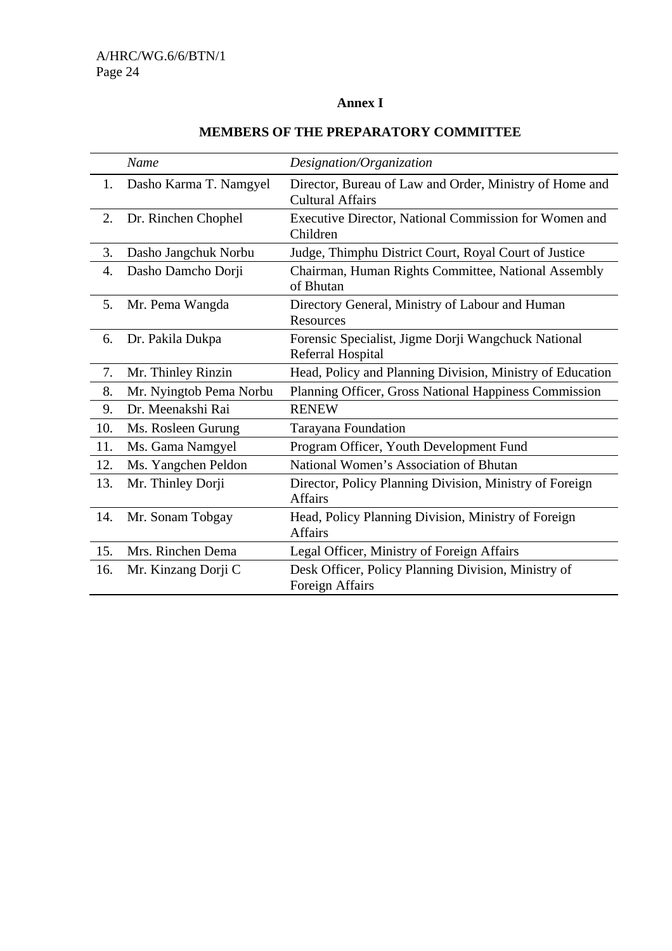### **Annex I**

|     | Name                    | Designation/Organization                                                           |
|-----|-------------------------|------------------------------------------------------------------------------------|
| 1.  | Dasho Karma T. Namgyel  | Director, Bureau of Law and Order, Ministry of Home and<br><b>Cultural Affairs</b> |
| 2.  | Dr. Rinchen Chophel     | Executive Director, National Commission for Women and<br>Children                  |
| 3.  | Dasho Jangchuk Norbu    | Judge, Thimphu District Court, Royal Court of Justice                              |
| 4.  | Dasho Damcho Dorji      | Chairman, Human Rights Committee, National Assembly<br>of Bhutan                   |
| 5.  | Mr. Pema Wangda         | Directory General, Ministry of Labour and Human<br>Resources                       |
| 6.  | Dr. Pakila Dukpa        | Forensic Specialist, Jigme Dorji Wangchuck National<br>Referral Hospital           |
| 7.  | Mr. Thinley Rinzin      | Head, Policy and Planning Division, Ministry of Education                          |
| 8.  | Mr. Nyingtob Pema Norbu | Planning Officer, Gross National Happiness Commission                              |
| 9.  | Dr. Meenakshi Rai       | <b>RENEW</b>                                                                       |
| 10. | Ms. Rosleen Gurung      | Tarayana Foundation                                                                |
| 11. | Ms. Gama Namgyel        | Program Officer, Youth Development Fund                                            |
| 12. | Ms. Yangchen Peldon     | National Women's Association of Bhutan                                             |
| 13. | Mr. Thinley Dorji       | Director, Policy Planning Division, Ministry of Foreign<br><b>Affairs</b>          |
| 14. | Mr. Sonam Tobgay        | Head, Policy Planning Division, Ministry of Foreign<br><b>Affairs</b>              |
| 15. | Mrs. Rinchen Dema       | Legal Officer, Ministry of Foreign Affairs                                         |
| 16. | Mr. Kinzang Dorji C     | Desk Officer, Policy Planning Division, Ministry of<br>Foreign Affairs             |

# **MEMBERS OF THE PREPARATORY COMMITTEE**